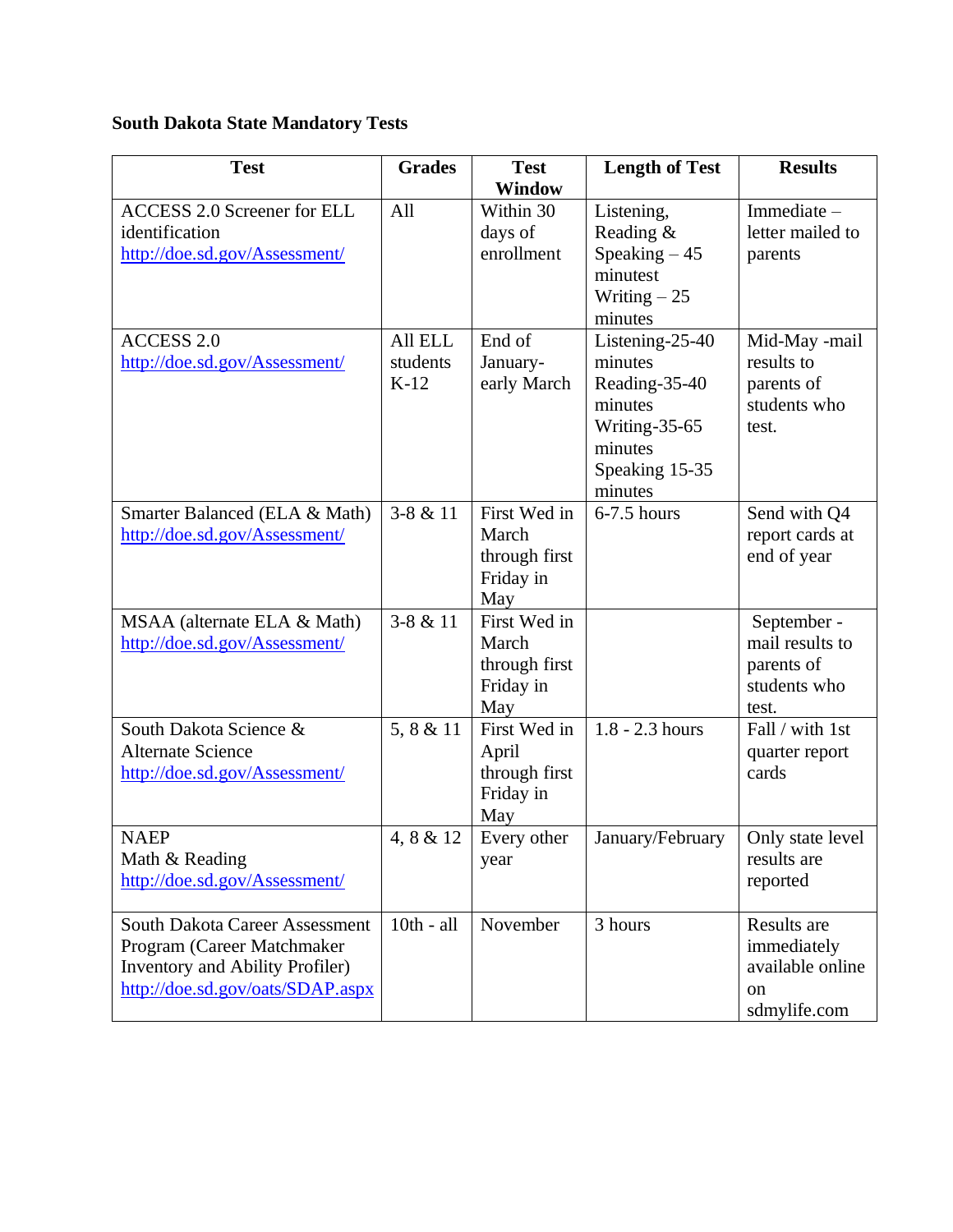## **South Dakota State Mandatory Tests**

| <b>Test</b>                           | <b>Grades</b> | <b>Test</b>                | <b>Length of Test</b> | <b>Results</b>                 |
|---------------------------------------|---------------|----------------------------|-----------------------|--------------------------------|
|                                       |               | <b>Window</b>              |                       |                                |
| <b>ACCESS 2.0 Screener for ELL</b>    | All           | Within 30                  | Listening,            | Immediate-                     |
| identification                        |               | days of                    | Reading &             | letter mailed to               |
| http://doe.sd.gov/Assessment/         |               | enrollment                 | Speaking $-45$        | parents                        |
|                                       |               |                            | minutest              |                                |
|                                       |               |                            | Writing $-25$         |                                |
|                                       |               |                            | minutes               |                                |
| <b>ACCESS 2.0</b>                     | All ELL       | End of                     | Listening-25-40       | Mid-May -mail                  |
| http://doe.sd.gov/Assessment/         | students      | January-                   | minutes               | results to                     |
|                                       | $K-12$        | early March                | Reading-35-40         | parents of                     |
|                                       |               |                            | minutes               | students who                   |
|                                       |               |                            | Writing-35-65         | test.                          |
|                                       |               |                            | minutes               |                                |
|                                       |               |                            | Speaking 15-35        |                                |
|                                       |               |                            | minutes               |                                |
| Smarter Balanced (ELA & Math)         | $3-8 & 11$    | First Wed in               | $6-7.5$ hours         | Send with Q4                   |
| http://doe.sd.gov/Assessment/         |               | March                      |                       | report cards at                |
|                                       |               | through first              |                       | end of year                    |
|                                       |               | Friday in                  |                       |                                |
|                                       | $3 - 8 & 11$  | May<br>First Wed in        |                       |                                |
| MSAA (alternate ELA & Math)           |               | March                      |                       | September -<br>mail results to |
| http://doe.sd.gov/Assessment/         |               |                            |                       |                                |
|                                       |               | through first<br>Friday in |                       | parents of<br>students who     |
|                                       |               | May                        |                       | test.                          |
| South Dakota Science &                | 5, 8 & 11     | First Wed in               | $1.8 - 2.3$ hours     | Fall / with 1st                |
| <b>Alternate Science</b>              |               | April                      |                       | quarter report                 |
| http://doe.sd.gov/Assessment/         |               | through first              |                       | cards                          |
|                                       |               | Friday in                  |                       |                                |
|                                       |               | May                        |                       |                                |
| <b>NAEP</b>                           | 4, 8 & 12     | Every other                | January/February      | Only state level               |
| Math & Reading                        |               | year                       |                       | results are                    |
| http://doe.sd.gov/Assessment/         |               |                            |                       | reported                       |
|                                       |               |                            |                       |                                |
| <b>South Dakota Career Assessment</b> | $10th - all$  | November                   | 3 hours               | Results are                    |
| Program (Career Matchmaker            |               |                            |                       | immediately                    |
| Inventory and Ability Profiler)       |               |                            |                       | available online               |
| http://doe.sd.gov/oats/SDAP.aspx      |               |                            |                       | on                             |
|                                       |               |                            |                       | sdmylife.com                   |